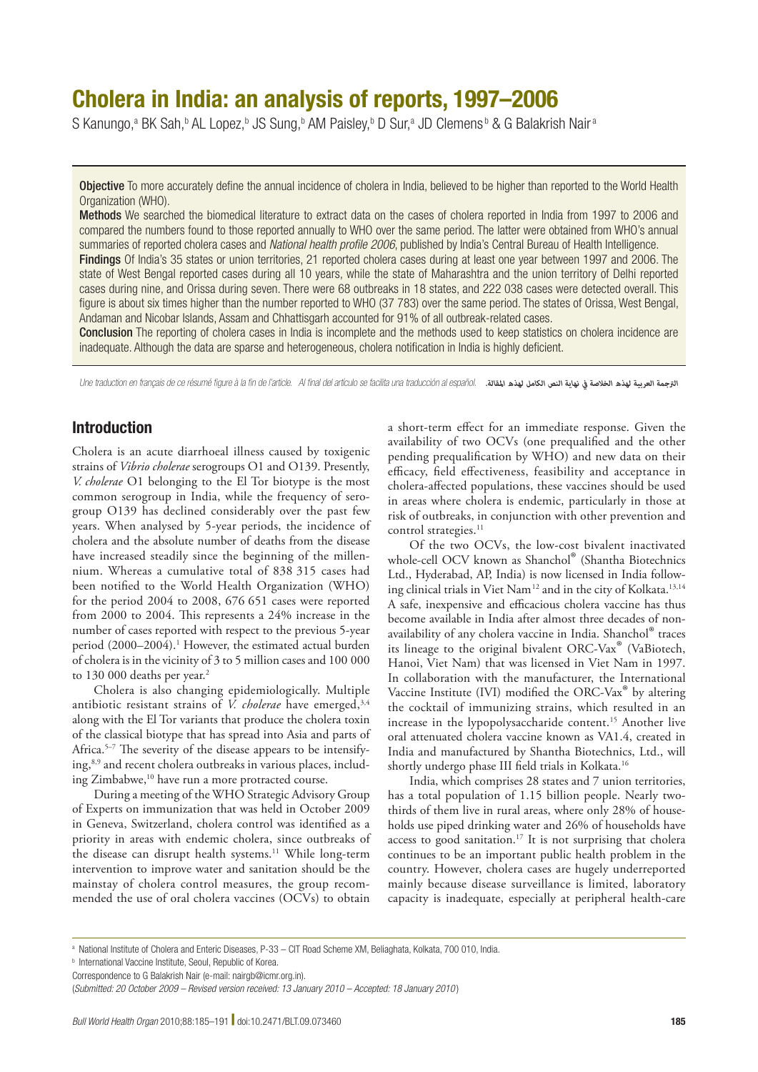# Cholera in India: an analysis of reports, 1997–2006

S Kanungo,<sup>a</sup> BK Sah,<sup>b</sup> AL Lopez,<sup>b</sup> JS Sung,<sup>b</sup> AM Paisley,<sup>b</sup> D Sur,<sup>a</sup> JD Clemens<sup>b</sup> & G Balakrish Nair<sup>a</sup>

Objective To more accurately define the annual incidence of cholera in India, believed to be higher than reported to the World Health Organization (WHO).

Methods We searched the biomedical literature to extract data on the cases of cholera reported in India from 1997 to 2006 and compared the numbers found to those reported annually to WHO over the same period. The latter were obtained from WHO's annual summaries of reported cholera cases and *National health profile 2006*, published by India's Central Bureau of Health Intelligence.

Findings Of India's 35 states or union territories, 21 reported cholera cases during at least one year between 1997 and 2006. The state of West Bengal reported cases during all 10 years, while the state of Maharashtra and the union territory of Delhi reported cases during nine, and Orissa during seven. There were 68 outbreaks in 18 states, and 222 038 cases were detected overall. This figure is about six times higher than the number reported to WHO (37 783) over the same period. The states of Orissa, West Bengal, Andaman and Nicobar Islands, Assam and Chhattisgarh accounted for 91% of all outbreak-related cases.

Conclusion The reporting of cholera cases in India is incomplete and the methods used to keep statistics on cholera incidence are inadequate. Although the data are sparse and heterogeneous, cholera notification in India is highly deficient.

Une traduction en français de ce résumé figure à la fin de l'article. Al final del artículo se facilita una traducción al español. *.املقالة لهذه الكامل النص نهاية يف الخالصة لهذه العربية الرتجمة*

## Introduction

Cholera is an acute diarrhoeal illness caused by toxigenic strains of *Vibrio cholerae* serogroups O1 and O139. Presently, *V. cholerae* O1 belonging to the El Tor biotype is the most common serogroup in India, while the frequency of serogroup O139 has declined considerably over the past few years. When analysed by 5-year periods, the incidence of cholera and the absolute number of deaths from the disease have increased steadily since the beginning of the millennium. Whereas a cumulative total of 838 315 cases had been notified to the World Health Organization (WHO) for the period 2004 to 2008, 676 651 cases were reported from 2000 to 2004. This represents a 24% increase in the number of cases reported with respect to the previous 5-year period (2000–2004).1 However, the estimated actual burden of cholera is in the vicinity of 3 to 5 million cases and 100 000 to 130 000 deaths per year.<sup>2</sup>

Cholera is also changing epidemiologically. Multiple antibiotic resistant strains of *V. cholerae* have emerged,<sup>3,4</sup> along with the El Tor variants that produce the cholera toxin of the classical biotype that has spread into Asia and parts of Africa.<sup>5-7</sup> The severity of the disease appears to be intensifying,8,9 and recent cholera outbreaks in various places, including Zimbabwe,10 have run a more protracted course.

During a meeting of the WHO Strategic Advisory Group of Experts on immunization that was held in October 2009 in Geneva, Switzerland, cholera control was identified as a priority in areas with endemic cholera, since outbreaks of the disease can disrupt health systems.<sup>11</sup> While long-term intervention to improve water and sanitation should be the mainstay of cholera control measures, the group recommended the use of oral cholera vaccines (OCVs) to obtain

a short-term effect for an immediate response. Given the availability of two OCVs (one prequalified and the other pending prequalification by WHO) and new data on their efficacy, field effectiveness, feasibility and acceptance in cholera-affected populations, these vaccines should be used in areas where cholera is endemic, particularly in those at risk of outbreaks, in conjunction with other prevention and control strategies.<sup>11</sup>

Of the two OCVs, the low-cost bivalent inactivated whole-cell OCV known as Shanchol® (Shantha Biotechnics Ltd., Hyderabad, AP, India) is now licensed in India following clinical trials in Viet Nam<sup>12</sup> and in the city of Kolkata.<sup>13,14</sup> A safe, inexpensive and efficacious cholera vaccine has thus become available in India after almost three decades of nonavailability of any cholera vaccine in India. Shanchol® traces its lineage to the original bivalent ORC-Vax® (VaBiotech, Hanoi, Viet Nam) that was licensed in Viet Nam in 1997. In collaboration with the manufacturer, the International Vaccine Institute (IVI) modified the ORC-Vax<sup>®</sup> by altering the cocktail of immunizing strains, which resulted in an increase in the lypopolysaccharide content.15 Another live oral attenuated cholera vaccine known as VA1.4, created in India and manufactured by Shantha Biotechnics, Ltd., will shortly undergo phase III field trials in Kolkata.<sup>16</sup>

India, which comprises 28 states and 7 union territories, has a total population of 1.15 billion people. Nearly twothirds of them live in rural areas, where only 28% of households use piped drinking water and 26% of households have access to good sanitation.<sup>17</sup> It is not surprising that cholera continues to be an important public health problem in the country. However, cholera cases are hugely underreported mainly because disease surveillance is limited, laboratory capacity is inadequate, especially at peripheral health-care

**b** International Vaccine Institute, Seoul, Republic of Korea.

<sup>a</sup> National Institute of Cholera and Enteric Diseases, P-33 – CIT Road Scheme XM, Beliaghata, Kolkata, 700 010, India.

Correspondence to G Balakrish Nair (e-mail: nairgb@icmr.org.in).

<sup>(</sup>*Submitted: 20 October 2009 – Revised version received: 13 January 2010 – Accepted: 18 January 2010* )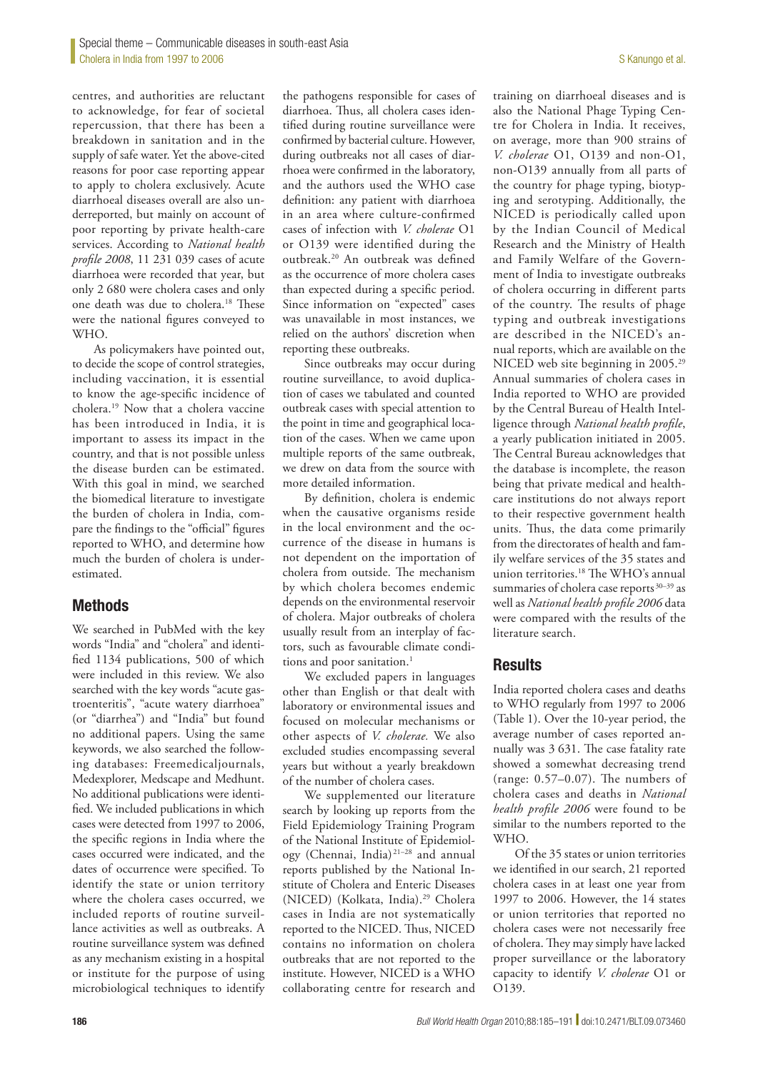centres, and authorities are reluctant to acknowledge, for fear of societal repercussion, that there has been a breakdown in sanitation and in the supply of safe water. Yet the above-cited reasons for poor case reporting appear to apply to cholera exclusively. Acute diarrhoeal diseases overall are also underreported, but mainly on account of poor reporting by private health-care services. According to *National health profile 2008*, 11 231 039 cases of acute diarrhoea were recorded that year, but only 2 680 were cholera cases and only one death was due to cholera.18 These were the national figures conveyed to WHO.

As policymakers have pointed out, to decide the scope of control strategies, including vaccination, it is essential to know the age-specific incidence of cholera.19 Now that a cholera vaccine has been introduced in India, it is important to assess its impact in the country, and that is not possible unless the disease burden can be estimated. With this goal in mind, we searched the biomedical literature to investigate the burden of cholera in India, compare the findings to the "official" figures reported to WHO, and determine how much the burden of cholera is underestimated.

## Methods

We searched in PubMed with the key words "India" and "cholera" and identified 1134 publications, 500 of which were included in this review. We also searched with the key words "acute gastroenteritis", "acute watery diarrhoea" (or "diarrhea") and "India" but found no additional papers. Using the same keywords, we also searched the following databases: Freemedicaljournals, Medexplorer, Medscape and Medhunt. No additional publications were identified. We included publications in which cases were detected from 1997 to 2006, the specific regions in India where the cases occurred were indicated, and the dates of occurrence were specified. To identify the state or union territory where the cholera cases occurred, we included reports of routine surveillance activities as well as outbreaks. A routine surveillance system was defined as any mechanism existing in a hospital or institute for the purpose of using microbiological techniques to identify

the pathogens responsible for cases of diarrhoea. Thus, all cholera cases identified during routine surveillance were confirmed by bacterial culture. However, during outbreaks not all cases of diarrhoea were confirmed in the laboratory, and the authors used the WHO case definition: any patient with diarrhoea in an area where culture-confirmed cases of infection with *V. cholerae* O1 or O139 were identified during the outbreak.20 An outbreak was defined as the occurrence of more cholera cases than expected during a specific period. Since information on "expected" cases was unavailable in most instances, we relied on the authors' discretion when reporting these outbreaks.

Since outbreaks may occur during routine surveillance, to avoid duplication of cases we tabulated and counted outbreak cases with special attention to the point in time and geographical location of the cases. When we came upon multiple reports of the same outbreak, we drew on data from the source with more detailed information.

By definition, cholera is endemic when the causative organisms reside in the local environment and the occurrence of the disease in humans is not dependent on the importation of cholera from outside. The mechanism by which cholera becomes endemic depends on the environmental reservoir of cholera. Major outbreaks of cholera usually result from an interplay of factors, such as favourable climate conditions and poor sanitation.<sup>1</sup>

We excluded papers in languages other than English or that dealt with laboratory or environmental issues and focused on molecular mechanisms or other aspects of *V. cholerae.* We also excluded studies encompassing several years but without a yearly breakdown of the number of cholera cases.

We supplemented our literature search by looking up reports from the Field Epidemiology Training Program of the National Institute of Epidemiology (Chennai, India) 21–28 and annual reports published by the National Institute of Cholera and Enteric Diseases (NICED) (Kolkata, India).<sup>29</sup> Cholera cases in India are not systematically reported to the NICED. Thus, NICED contains no information on cholera outbreaks that are not reported to the institute. However, NICED is a WHO collaborating centre for research and

training on diarrhoeal diseases and is also the National Phage Typing Centre for Cholera in India. It receives, on average, more than 900 strains of *V. cholerae* O1, O139 and non-O1, non-O139 annually from all parts of the country for phage typing, biotyping and serotyping. Additionally, the NICED is periodically called upon by the Indian Council of Medical Research and the Ministry of Health and Family Welfare of the Government of India to investigate outbreaks of cholera occurring in different parts of the country. The results of phage typing and outbreak investigations are described in the NICED's annual reports, which are available on the NICED web site beginning in 2005.29 Annual summaries of cholera cases in India reported to WHO are provided by the Central Bureau of Health Intelligence through *National health profile*, a yearly publication initiated in 2005. The Central Bureau acknowledges that the database is incomplete, the reason being that private medical and healthcare institutions do not always report to their respective government health units. Thus, the data come primarily from the directorates of health and family welfare services of the 35 states and union territories.18 The WHO's annual summaries of cholera case reports<sup>30-39</sup> as well as *National health profile 2006* data were compared with the results of the literature search.

## **Results**

India reported cholera cases and deaths to WHO regularly from 1997 to 2006 (Table 1). Over the 10-year period, the average number of cases reported annually was 3 631. The case fatality rate showed a somewhat decreasing trend (range: 0.57–0.07). The numbers of cholera cases and deaths in *National health profile 2006* were found to be similar to the numbers reported to the WHO.

Of the 35 states or union territories we identified in our search, 21 reported cholera cases in at least one year from 1997 to 2006. However, the 14 states or union territories that reported no cholera cases were not necessarily free of cholera. They may simply have lacked proper surveillance or the laboratory capacity to identify *V. cholerae* O1 or O139.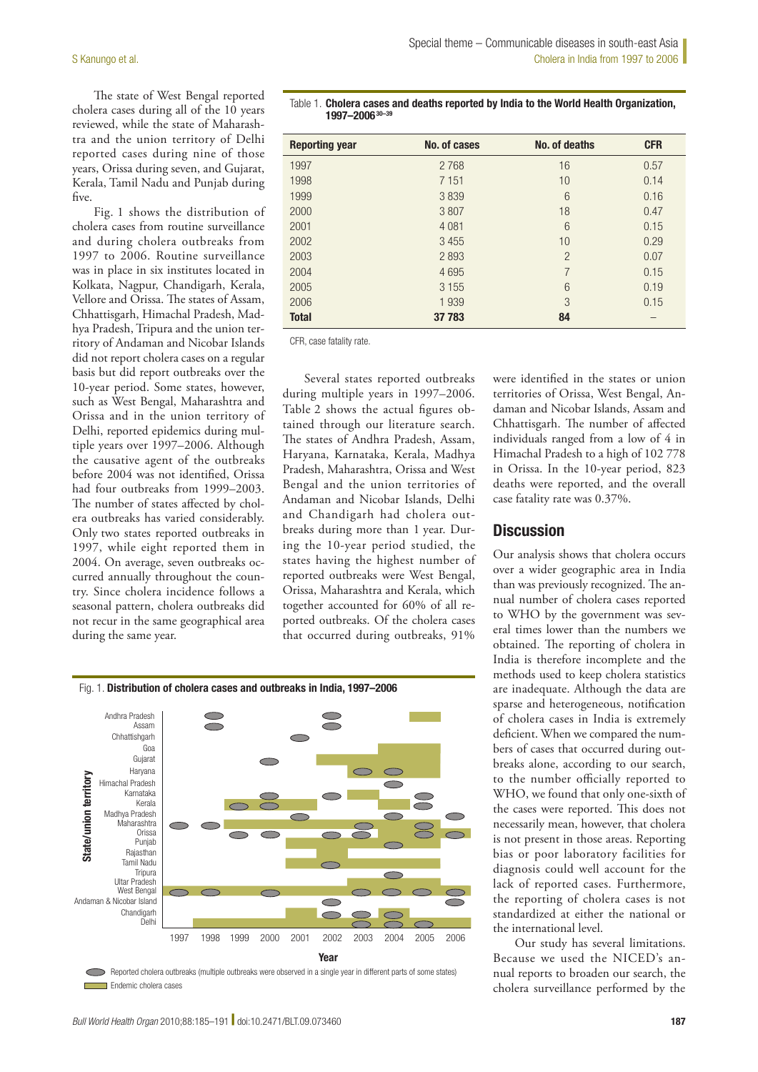The state of West Bengal reported cholera cases during all of the 10 years reviewed, while the state of Maharashtra and the union territory of Delhi reported cases during nine of those years, Orissa during seven, and Gujarat, Kerala, Tamil Nadu and Punjab during five.

Fig. 1 shows the distribution of cholera cases from routine surveillance and during cholera outbreaks from 1997 to 2006. Routine surveillance was in place in six institutes located in Kolkata, Nagpur, Chandigarh, Kerala, Vellore and Orissa. The states of Assam, Chhattisgarh, Himachal Pradesh, Madhya Pradesh, Tripura and the union territory of Andaman and Nicobar Islands did not report cholera cases on a regular basis but did report outbreaks over the 10-year period. Some states, however, such as West Bengal, Maharashtra and Orissa and in the union territory of Delhi, reported epidemics during multiple years over 1997–2006. Although the causative agent of the outbreaks before 2004 was not identified, Orissa had four outbreaks from 1999–2003. The number of states affected by cholera outbreaks has varied considerably. Only two states reported outbreaks in 1997, while eight reported them in 2004. On average, seven outbreaks occurred annually throughout the country. Since cholera incidence follows a seasonal pattern, cholera outbreaks did not recur in the same geographical area during the same year.

| <b>Reporting year</b> | No. of cases | No. of deaths  | <b>CFR</b> |
|-----------------------|--------------|----------------|------------|
| 1997                  | 2768         | 16             | 0.57       |
| 1998                  | 7 1 5 1      | 10             | 0.14       |
| 1999                  | 3839         | 6              | 0.16       |
| 2000                  | 3807         | 18             | 0.47       |
| 2001                  | 4 0 8 1      | 6              | 0.15       |
| 2002                  | 3455         | 10             | 0.29       |
| 2003                  | 2893         | $\overline{2}$ | 0.07       |
| 2004                  | 4695         | 7              | 0.15       |
| 2005                  | 3 1 5 5      | 6              | 0.19       |
| 2006                  | 1939         | 3              | 0.15       |
| <b>Total</b>          | 37 783       | 84             |            |
|                       |              |                |            |

Table 1. Cholera cases and deaths reported by India to the World Health Organization,

CFR, case fatality rate.

1997–200630–39

Several states reported outbreaks during multiple years in 1997–2006. Table 2 shows the actual figures obtained through our literature search. The states of Andhra Pradesh, Assam, Haryana, Karnataka, Kerala, Madhya Pradesh, Maharashtra, Orissa and West Bengal and the union territories of Andaman and Nicobar Islands, Delhi and Chandigarh had cholera outbreaks during more than 1 year. During the 10-year period studied, the states having the highest number of reported outbreaks were West Bengal, Orissa, Maharashtra and Kerala, which together accounted for 60% of all reported outbreaks. Of the cholera cases that occurred during outbreaks, 91%



Reported cholera outbreaks (multiple outbreaks were observed in a single year in different parts of some states) Endemic cholera cases

## were identified in the states or union territories of Orissa, West Bengal, Andaman and Nicobar Islands, Assam and Chhattisgarh. The number of affected individuals ranged from a low of 4 in Himachal Pradesh to a high of 102 778 in Orissa. In the 10-year period, 823 deaths were reported, and the overall

case fatality rate was 0.37%.

### **Discussion**

Our analysis shows that cholera occurs over a wider geographic area in India than was previously recognized. The annual number of cholera cases reported to WHO by the government was several times lower than the numbers we obtained. The reporting of cholera in India is therefore incomplete and the methods used to keep cholera statistics are inadequate. Although the data are sparse and heterogeneous, notification of cholera cases in India is extremely deficient. When we compared the numbers of cases that occurred during outbreaks alone, according to our search, to the number officially reported to WHO, we found that only one-sixth of the cases were reported. This does not necessarily mean, however, that cholera is not present in those areas. Reporting bias or poor laboratory facilities for diagnosis could well account for the lack of reported cases. Furthermore, the reporting of cholera cases is not standardized at either the national or the international level.

Our study has several limitations. Because we used the NICED's annual reports to broaden our search, the cholera surveillance performed by the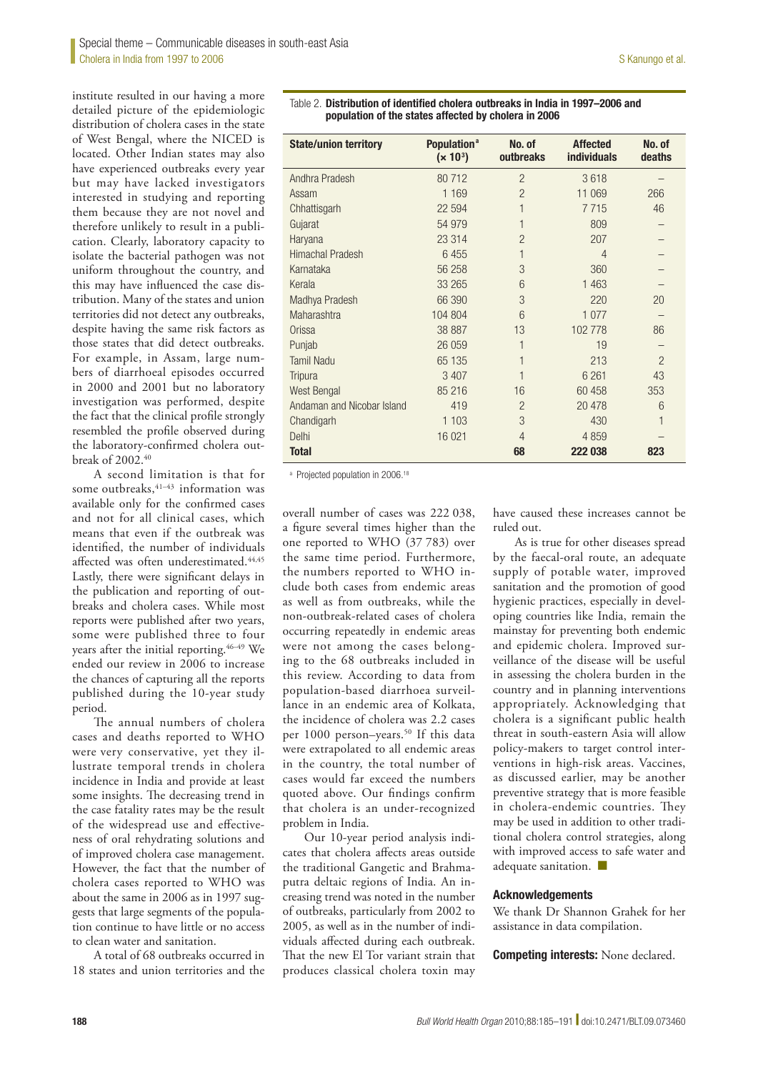institute resulted in our having a more detailed picture of the epidemiologic distribution of cholera cases in the state of West Bengal, where the NICED is located. Other Indian states may also have experienced outbreaks every year but may have lacked investigators interested in studying and reporting them because they are not novel and therefore unlikely to result in a publication. Clearly, laboratory capacity to isolate the bacterial pathogen was not uniform throughout the country, and this may have influenced the case distribution. Many of the states and union territories did not detect any outbreaks, despite having the same risk factors as those states that did detect outbreaks. For example, in Assam, large numbers of diarrhoeal episodes occurred in 2000 and 2001 but no laboratory investigation was performed, despite the fact that the clinical profile strongly resembled the profile observed during the laboratory-confirmed cholera outbreak of 2002.40

A second limitation is that for some outbreaks, <sup>41-43</sup> information was available only for the confirmed cases and not for all clinical cases, which means that even if the outbreak was identified, the number of individuals affected was often underestimated.<sup>44,45</sup> Lastly, there were significant delays in the publication and reporting of outbreaks and cholera cases. While most reports were published after two years, some were published three to four years after the initial reporting.46–49 We ended our review in 2006 to increase the chances of capturing all the reports published during the 10-year study period.

The annual numbers of cholera cases and deaths reported to WHO were very conservative, yet they illustrate temporal trends in cholera incidence in India and provide at least some insights. The decreasing trend in the case fatality rates may be the result of the widespread use and effectiveness of oral rehydrating solutions and of improved cholera case management. However, the fact that the number of cholera cases reported to WHO was about the same in 2006 as in 1997 suggests that large segments of the population continue to have little or no access to clean water and sanitation.

A total of 68 outbreaks occurred in 18 states and union territories and the

|                                                      | Table 2. Distribution of identified cholera outbreaks in India in 1997–2006 and |  |  |  |  |
|------------------------------------------------------|---------------------------------------------------------------------------------|--|--|--|--|
| population of the states affected by cholera in 2006 |                                                                                 |  |  |  |  |

| <b>State/union territory</b> | Population <sup>a</sup><br>$(x 10^3)$ | No. of<br>outbreaks | <b>Affected</b><br><b>individuals</b> | No. of<br>deaths |
|------------------------------|---------------------------------------|---------------------|---------------------------------------|------------------|
| Andhra Pradesh               | 80712                                 | $\overline{2}$      | 3618                                  |                  |
| Assam                        | 1 1 6 9                               | $\overline{2}$      | 11 069                                | 266              |
| Chhattisgarh                 | 22 5 94                               | 1                   | 7715                                  | 46               |
| Gujarat                      | 54 979                                | 1                   | 809                                   |                  |
| Haryana                      | 23 314                                | $\overline{2}$      | 207                                   |                  |
| <b>Himachal Pradesh</b>      | 6455                                  | 1                   | 4                                     |                  |
| Karnataka                    | 56 258                                | 3                   | 360                                   |                  |
| Kerala                       | 33 265                                | 6                   | 1 4 6 3                               |                  |
| Madhya Pradesh               | 66 390                                | 3                   | 220                                   | 20               |
| Maharashtra                  | 104 804                               | 6                   | 1 0 7 7                               |                  |
| Orissa                       | 38 887                                | 13                  | 102778                                | 86               |
| Punjab                       | 26 059                                | 1                   | 19                                    |                  |
| <b>Tamil Nadu</b>            | 65 135                                | 1                   | 213                                   | $\overline{2}$   |
| <b>Tripura</b>               | 3 4 0 7                               | 1                   | 6 2 6 1                               | 43               |
| West Bengal                  | 85 216                                | 16                  | 60 458                                | 353              |
| Andaman and Nicobar Island   | 419                                   | $\overline{2}$      | 20 478                                | 6                |
| Chandigarh                   | 1 1 0 3                               | 3                   | 430                                   | 1                |
| Delhi                        | 16 0 21                               | 4                   | 4859                                  |                  |
| <b>Total</b>                 |                                       | 68                  | 222 038                               | 823              |

a Projected population in 2006.<sup>18</sup>

overall number of cases was 222 038, a figure several times higher than the one reported to WHO (37 783) over the same time period. Furthermore, the numbers reported to WHO include both cases from endemic areas as well as from outbreaks, while the non-outbreak-related cases of cholera occurring repeatedly in endemic areas were not among the cases belonging to the 68 outbreaks included in this review. According to data from population-based diarrhoea surveillance in an endemic area of Kolkata, the incidence of cholera was 2.2 cases per 1000 person-years.<sup>50</sup> If this data were extrapolated to all endemic areas in the country, the total number of cases would far exceed the numbers quoted above. Our findings confirm that cholera is an under-recognized problem in India.

Our 10-year period analysis indicates that cholera affects areas outside the traditional Gangetic and Brahmaputra deltaic regions of India. An increasing trend was noted in the number of outbreaks, particularly from 2002 to 2005, as well as in the number of individuals affected during each outbreak. That the new El Tor variant strain that produces classical cholera toxin may

have caused these increases cannot be ruled out.

As is true for other diseases spread by the faecal-oral route, an adequate supply of potable water, improved sanitation and the promotion of good hygienic practices, especially in developing countries like India, remain the mainstay for preventing both endemic and epidemic cholera. Improved surveillance of the disease will be useful in assessing the cholera burden in the country and in planning interventions appropriately. Acknowledging that cholera is a significant public health threat in south-eastern Asia will allow policy-makers to target control interventions in high-risk areas. Vaccines, as discussed earlier, may be another preventive strategy that is more feasible in cholera-endemic countries. They may be used in addition to other traditional cholera control strategies, along with improved access to safe water and adequate sanitation. ■

#### Acknowledgements

We thank Dr Shannon Grahek for her assistance in data compilation.

Competing interests: None declared.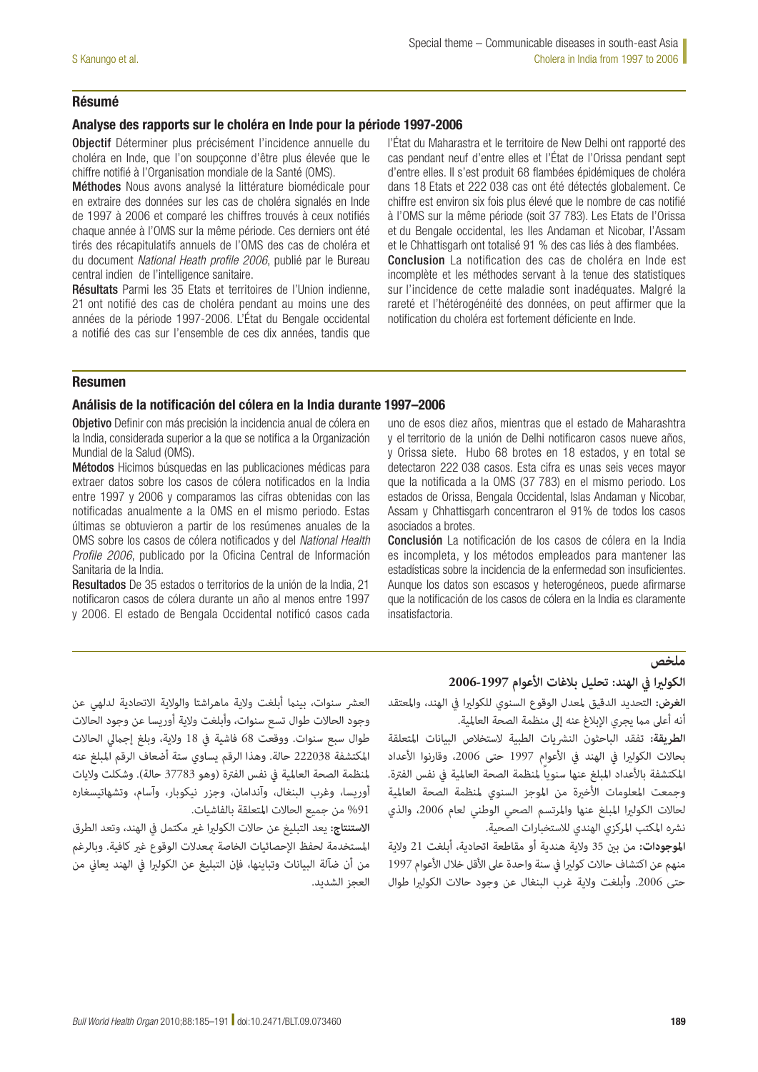#### Résumé

#### Analyse des rapports sur le choléra en Inde pour la période 1997-2006

Objectif Déterminer plus précisément l'incidence annuelle du choléra en Inde, que l'on soupçonne d'être plus élevée que le chiffre notifié à l'Organisation mondiale de la Santé (OMS).

Méthodes Nous avons analysé la littérature biomédicale pour en extraire des données sur les cas de choléra signalés en Inde de 1997 à 2006 et comparé les chiffres trouvés à ceux notifiés chaque année à l'OMS sur la même période. Ces derniers ont été tirés des récapitulatifs annuels de l'OMS des cas de choléra et du document *National Heath profile 2006*, publié par le Bureau central indien de l'intelligence sanitaire.

Résultats Parmi les 35 Etats et territoires de l'Union indienne, 21 ont notifié des cas de choléra pendant au moins une des années de la période 1997-2006. L'État du Bengale occidental a notifié des cas sur l'ensemble de ces dix années, tandis que l'État du Maharastra et le territoire de New Delhi ont rapporté des cas pendant neuf d'entre elles et l'État de l'Orissa pendant sept d'entre elles. Il s'est produit 68 flambées épidémiques de choléra dans 18 Etats et 222 038 cas ont été détectés globalement. Ce chiffre est environ six fois plus élevé que le nombre de cas notifié à l'OMS sur la même période (soit 37 783). Les Etats de l'Orissa et du Bengale occidental, les Iles Andaman et Nicobar, l'Assam et le Chhattisgarh ont totalisé 91 % des cas liés à des flambées. Conclusion La notification des cas de choléra en Inde est incomplète et les méthodes servant à la tenue des statistiques sur l'incidence de cette maladie sont inadéquates. Malgré la rareté et l'hétérogénéité des données, on peut affirmer que la notification du choléra est fortement déficiente en Inde.

#### Resumen

#### Análisis de la notificación del cólera en la India durante 1997–2006

Objetivo Definir con más precisión la incidencia anual de cólera en la India, considerada superior a la que se notifica a la Organización Mundial de la Salud (OMS).

Métodos Hicimos búsquedas en las publicaciones médicas para extraer datos sobre los casos de cólera notificados en la India entre 1997 y 2006 y comparamos las cifras obtenidas con las notificadas anualmente a la OMS en el mismo periodo. Estas últimas se obtuvieron a partir de los resúmenes anuales de la OMS sobre los casos de cólera notificados y del *National Health Profile 2006*, publicado por la Oficina Central de Información Sanitaria de la India.

Resultados De 35 estados o territorios de la unión de la India, 21 notificaron casos de cólera durante un año al menos entre 1997 y 2006. El estado de Bengala Occidental notificó casos cada uno de esos diez años, mientras que el estado de Maharashtra y el territorio de la unión de Delhi notificaron casos nueve años, y Orissa siete. Hubo 68 brotes en 18 estados, y en total se detectaron 222 038 casos. Esta cifra es unas seis veces mayor que la notificada a la OMS (37 783) en el mismo periodo. Los estados de Orissa, Bengala Occidental, Islas Andaman y Nicobar, Assam y Chhattisgarh concentraron el 91% de todos los casos asociados a brotes.

Conclusión La notificación de los casos de cólera en la India es incompleta, y los métodos empleados para mantener las estadísticas sobre la incidencia de la enfermedad son insuficientes. Aunque los datos son escasos y heterogéneos, puede afirmarse que la notificación de los casos de cólera en la India es claramente insatisfactoria.

## **ملخص**

### **الكولريا يف الهند: تحليل بالغات األعوام 2006-1997**

**الغرض:** التحديد الدقيق ملعدل الوقوع السنوي للكولريا يف الهند، واملعتقد أنه أعلى مما يجري الإبلاغ عنه إلى منظمة الصحة العالمية.

الطريقة: تفقد الباحثون النشريات الطبية لاستخلاص البيانات المتعلقة بحالات الكولبرا في الهند في الأعوام 1997 حتى 2006، وقارنوا الأعداد المكتشفة بالأعداد المبلغ عنها سنوياً لمنظمة الصحة العالمية في نفس الفترة. وجمعت املعلومات األخرية من املوجز السنوي ملنظمة الصحة العاملية لحاالت الكولريا املبلغ عنها واملرتسم الصحي الوطني لعام ،2006 والذي نرشه املكتب املركزي الهندي لالستخبارات الصحية.

**املوجودات:** من بني 35 والية هندية أو مقاطعة اتحادية، أبلغت 21 والية منهم عن اكتشاف حالات كوليرا في سنة واحدة على الأقل خلال الأعوام 1997 حتى 2006. وأبلغت ولاية غرب البنغال عن وجود حالات الكوليرا طوال

العشر سنوات، بينما أبلغت ولاية ماهراشتا والولاية الاتحادية لدلهي عن وجود الحاالت طوال تسع سنوات، وأبلغت والية أوريسا عن وجود الحاالت طوال سبع سنوات. ووقعت 68 فاشية في 18 ولاية، وبلغ إجمالي الحالات املكتشفة 222038 حالة. وهذا الرقم يساوي ستة أضعاف الرقم املبلغ عنه لمنظمة الصحة العالمية في نفس الفترة (وهو 37783 حالة). وشكلت ولايات أوريسا، وغرب البنغال، وآندامان، وجزر نيكوبار، وآسام، وتشهاتيسغاره %91 من جميع الحاالت املتعلقة بالفاشيات.

**االستنتاج:** يعد التبليغ عن حاالت الكولريا غري مكتمل يف الهند، وتعد الطرق املستخدمة لحفظ اإلحصائيات الخاصة مبعدالت الوقوع غري كافية. وبالرغم من أن ضآلة البيانات وتباينها، فإن التبليغ عن الكولريا يف الهند يعاين من العجز الشديد.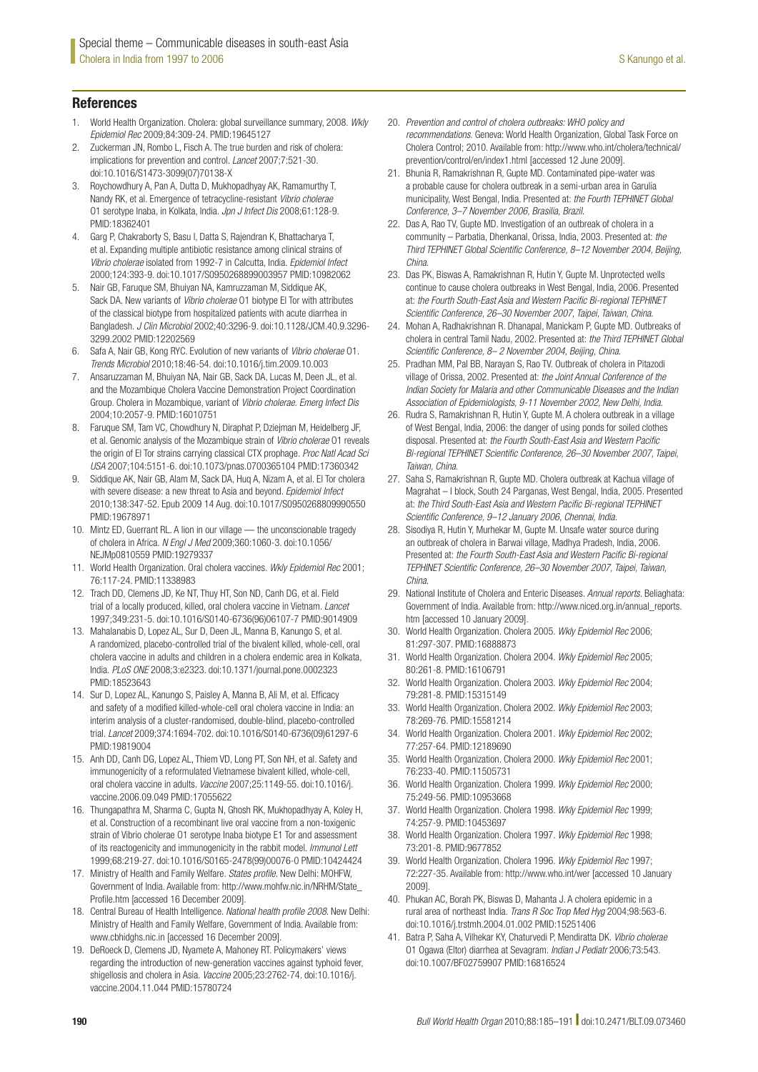#### **References**

- 1. World Health Organization. Cholera: global surveillance summary, 2008. *Wkly Epidemiol Rec* 2009;84:309-24. PMID:19645127
- 2. Zuckerman JN, Rombo L, Fisch A. The true burden and risk of cholera: implications for prevention and control. *Lancet* 2007;7:521-30. doi:10.1016/S1473-3099(07)70138-X
- 3. Roychowdhury A, Pan A, Dutta D, Mukhopadhyay AK, Ramamurthy T, Nandy RK, et al. Emergence of tetracycline-resistant *Vibrio cholerae* O1 serotype Inaba, in Kolkata, India. *Jpn J Infect Dis* 2008;61:128-9. PMID:18362401
- 4. Garg P, Chakraborty S, Basu I, Datta S, Rajendran K, Bhattacharya T, et al. Expanding multiple antibiotic resistance among clinical strains of *Vibrio cholerae* isolated from 1992-7 in Calcutta, India. *Epidemiol Infect* 2000;124:393-9. doi:10.1017/S0950268899003957 PMID:10982062
- 5. Nair GB, Faruque SM, Bhuiyan NA, Kamruzzaman M, Siddique AK, Sack DA. New variants of *Vibrio cholerae* O1 biotype El Tor with attributes of the classical biotype from hospitalized patients with acute diarrhea in Bangladesh. *J Clin Microbiol* 2002;40:3296-9. doi:10.1128/JCM.40.9.3296- 3299.2002 PMID:12202569
- 6. Safa A, Nair GB, Kong RYC. Evolution of new variants of *Vibrio cholerae* O1. *Trends Microbiol* 2010;18:46-54. doi:10.1016/j.tim.2009.10.003
- 7. Ansaruzzaman M, Bhuiyan NA, Nair GB, Sack DA, Lucas M, Deen JL, et al. and the Mozambique Cholera Vaccine Demonstration Project Coordination Group. Cholera in Mozambique, variant of *Vibrio cholerae*. *Emerg Infect Dis* 2004;10:2057-9. PMID:16010751
- 8. Faruque SM, Tam VC, Chowdhury N, Diraphat P, Dziejman M, Heidelberg JF, et al. Genomic analysis of the Mozambique strain of *Vibrio cholerae* O1 reveals the origin of El Tor strains carrying classical CTX prophage. *Proc Natl Acad Sci USA* 2007;104:5151-6. doi:10.1073/pnas.0700365104 PMID:17360342
- 9. Siddique AK, Nair GB, Alam M, Sack DA, Huq A, Nizam A, et al. El Tor cholera with severe disease: a new threat to Asia and beyond. *Epidemiol Infect* 2010;138:347-52. Epub 2009 14 Aug. doi:10.1017/S0950268809990550 PMID:19678971
- 10. Mintz ED, Guerrant RL. A lion in our village the unconscionable tragedy of cholera in Africa. *N Engl J Med* 2009;360:1060-3. doi:10.1056/ NEJMp0810559 PMID:19279337
- 11. World Health Organization. Oral cholera vaccines. *Wkly Epidemiol Rec* 2001; 76:117-24. PMID:11338983
- 12. Trach DD, Clemens JD, Ke NT, Thuy HT, Son ND, Canh DG, et al. Field trial of a locally produced, killed, oral cholera vaccine in Vietnam. *Lancet* 1997;349:231-5. doi:10.1016/S0140-6736(96)06107-7 PMID:9014909
- 13. Mahalanabis D, Lopez AL, Sur D, Deen JL, Manna B, Kanungo S, et al. A randomized, placebo-controlled trial of the bivalent killed, whole-cell, oral cholera vaccine in adults and children in a cholera endemic area in Kolkata, India. *PLoS ONE* 2008;3:e2323. doi:10.1371/journal.pone.0002323 PMID:18523643
- 14. Sur D, Lopez AL, Kanungo S, Paisley A, Manna B, Ali M, et al. Efficacy and safety of a modified killed-whole-cell oral cholera vaccine in India: an interim analysis of a cluster-randomised, double-blind, placebo-controlled trial. *Lancet* 2009;374:1694-702. doi:10.1016/S0140-6736(09)61297-6 PMID:19819004
- 15. Anh DD, Canh DG, Lopez AL, Thiem VD, Long PT, Son NH, et al. Safety and immunogenicity of a reformulated Vietnamese bivalent killed, whole-cell, oral cholera vaccine in adults. *Vaccine* 2007;25:1149-55. doi:10.1016/j. vaccine.2006.09.049 PMID:17055622
- 16. Thungapathra M, Sharma C, Gupta N, Ghosh RK, Mukhopadhyay A, Koley H, et al. Construction of a recombinant live oral vaccine from a non-toxigenic strain of Vibrio cholerae O1 serotype Inaba biotype E1 Tor and assessment of its reactogenicity and immunogenicity in the rabbit model. *Immunol Lett* 1999;68:219-27. doi:10.1016/S0165-2478(99)00076-0 PMID:10424424
- 17. Ministry of Health and Family Welfare. *States profile*. New Delhi: MOHFW, Government of India. Available from: http://www.mohfw.nic.in/NRHM/State\_ Profile.htm [accessed 16 December 2009].
- 18. Central Bureau of Health Intelligence. *National health profile 2008*. New Delhi: Ministry of Health and Family Welfare, Government of India. Available from: www.cbhidghs.nic.in [accessed 16 December 2009].
- 19. DeRoeck D, Clemens JD, Nyamete A, Mahoney RT. Policymakers' views regarding the introduction of new-generation vaccines against typhoid fever, shigellosis and cholera in Asia. *Vaccine* 2005;23:2762-74. doi:10.1016/j. vaccine.2004.11.044 PMID:15780724
- 20. *Prevention and control of cholera outbreaks: WHO policy and recommendations*. Geneva: World Health Organization, Global Task Force on Cholera Control; 2010. Available from: http://www.who.int/cholera/technical/ prevention/control/en/index1.html [accessed 12 June 2009].
- 21. Bhunia R, Ramakrishnan R, Gupte MD. Contaminated pipe-water was a probable cause for cholera outbreak in a semi-urban area in Garulia municipality, West Bengal, India. Presented at: *the Fourth TEPHINET Global Conference, 3–7 November 2006, Brasilia, Brazil*.
- 22. Das A, Rao TV, Gupte MD. Investigation of an outbreak of cholera in a community – Parbatia, Dhenkanal, Orissa, India, 2003. Presented at: *the Third TEPHINET Global Scientific Conference, 8–12 November 2004, Beijing, China*.
- 23. Das PK, Biswas A, Ramakrishnan R, Hutin Y, Gupte M. Unprotected wells continue to cause cholera outbreaks in West Bengal, India, 2006. Presented at: *the Fourth South-East Asia and Western Pacific Bi-regional TEPHINET Scientific Conference, 26–30 November 2007, Taipei, Taiwan, China*.
- 24. Mohan A, Radhakrishnan R. Dhanapal, Manickam P, Gupte MD. Outbreaks of cholera in central Tamil Nadu, 2002. Presented at: *the Third TEPHINET Global Scientific Conference, 8– 2 November 2004, Beijing, China*.
- 25. Pradhan MM, Pal BB, Narayan S, Rao TV. Outbreak of cholera in Pitazodi village of Orissa, 2002. Presented at: *the Joint Annual Conference of the Indian Society for Malaria and other Communicable Diseases and the Indian Association of Epidemiologists, 9-11 November 2002, New Delhi, India*.
- 26. Rudra S, Ramakrishnan R, Hutin Y, Gupte M. A cholera outbreak in a village of West Bengal, India, 2006: the danger of using ponds for soiled clothes disposal. Presented at: *the Fourth South-East Asia and Western Pacific Bi-regional TEPHINET Scientific Conference, 26–30 November 2007, Taipei, Taiwan, China*.
- 27. Saha S, Ramakrishnan R, Gupte MD. Cholera outbreak at Kachua village of Magrahat – I block, South 24 Parganas, West Bengal, India, 2005. Presented at: *the Third South-East Asia and Western Pacific Bi-regional TEPHINET Scientific Conference, 9–12 January 2006, Chennai, India*.
- 28. Sisodiya R, Hutin Y, Murhekar M, Gupte M. Unsafe water source during an outbreak of cholera in Barwai village, Madhya Pradesh, India, 2006. Presented at: *the Fourth South-East Asia and Western Pacific Bi-regional TEPHINET Scientific Conference, 26–30 November 2007, Taipei, Taiwan, China*.
- 29. National Institute of Cholera and Enteric Diseases. *Annual reports*. Beliaghata: Government of India. Available from: http://www.niced.org.in/annual\_reports. htm [accessed 10 January 2009].
- 30. World Health Organization. Cholera 2005. *Wkly Epidemiol Rec* 2006; 81:297-307. PMID:16888873
- 31. World Health Organization. Cholera 2004. *Wkly Epidemiol Rec* 2005; 80:261-8. PMID:16106791
- 32. World Health Organization. Cholera 2003. *Wkly Epidemiol Rec* 2004; 79:281-8. PMID:15315149
- 33. World Health Organization. Cholera 2002. *Wkly Epidemiol Rec* 2003; 78:269-76. PMID:15581214
- 34. World Health Organization. Cholera 2001. *Wkly Epidemiol Rec* 2002; 77:257-64. PMID:12189690
- 35. World Health Organization. Cholera 2000. *Wkly Epidemiol Rec* 2001; 76:233-40. PMID:11505731
- 36. World Health Organization. Cholera 1999. *Wkly Epidemiol Rec* 2000; 75:249-56. PMID:10953668
- 37. World Health Organization. Cholera 1998. *Wkly Epidemiol Rec* 1999; 74:257-9. PMID:10453697
- 38. World Health Organization. Cholera 1997. *Wkly Epidemiol Rec* 1998; 73:201-8. PMID:9677852
- 39. World Health Organization. Cholera 1996. *Wkly Epidemiol Rec* 1997; 72:227-35. Available from: http://www.who.int/wer [accessed 10 January 2009].
- 40. Phukan AC, Borah PK, Biswas D, Mahanta J. A cholera epidemic in a rural area of northeast India. *Trans R Soc Trop Med Hyg* 2004;98:563-6. doi:10.1016/j.trstmh.2004.01.002 PMID:15251406
- 41. Batra P, Saha A, Vilhekar KY, Chaturvedi P, Mendiratta DK. *Vibrio cholerae* O1 Ogawa (Eltor) diarrhea at Sevagram. *Indian J Pediatr* 2006;73:543. doi:10.1007/BF02759907 PMID:16816524